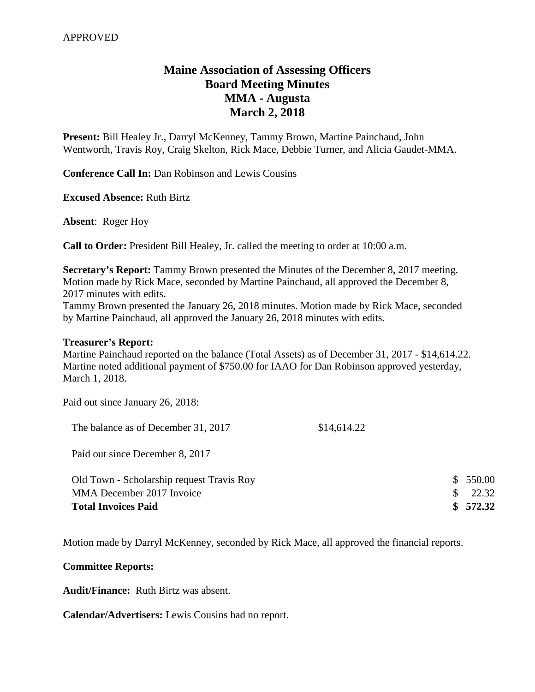## **Maine Association of Assessing Officers Board Meeting Minutes MMA - Augusta March 2, 2018**

**Present:** Bill Healey Jr., Darryl McKenney, Tammy Brown, Martine Painchaud, John Wentworth, Travis Roy, Craig Skelton, Rick Mace, Debbie Turner, and Alicia Gaudet-MMA.

**Conference Call In:** Dan Robinson and Lewis Cousins

**Excused Absence:** Ruth Birtz

**Absent**: Roger Hoy

**Call to Order:** President Bill Healey, Jr. called the meeting to order at 10:00 a.m.

**Secretary's Report:** Tammy Brown presented the Minutes of the December 8, 2017 meeting. Motion made by Rick Mace, seconded by Martine Painchaud, all approved the December 8, 2017 minutes with edits.

Tammy Brown presented the January 26, 2018 minutes. Motion made by Rick Mace, seconded by Martine Painchaud, all approved the January 26, 2018 minutes with edits.

## **Treasurer's Report:**

Martine Painchaud reported on the balance (Total Assets) as of December 31, 2017 - \$14,614.22. Martine noted additional payment of \$750.00 for IAAO for Dan Robinson approved yesterday, March 1, 2018.

Paid out since January 26, 2018:

| The balance as of December 31, 2017 | \$14,614.22 |
|-------------------------------------|-------------|
|-------------------------------------|-------------|

Paid out since December 8, 2017

| Old Town - Scholarship request Travis Roy | \$550.00          |
|-------------------------------------------|-------------------|
| MMA December 2017 Invoice                 | $\frac{1}{22.32}$ |
| <b>Total Invoices Paid</b>                | \$572.32          |

Motion made by Darryl McKenney, seconded by Rick Mace, all approved the financial reports.

## **Committee Reports:**

**Audit/Finance:** Ruth Birtz was absent.

**Calendar/Advertisers:** Lewis Cousins had no report.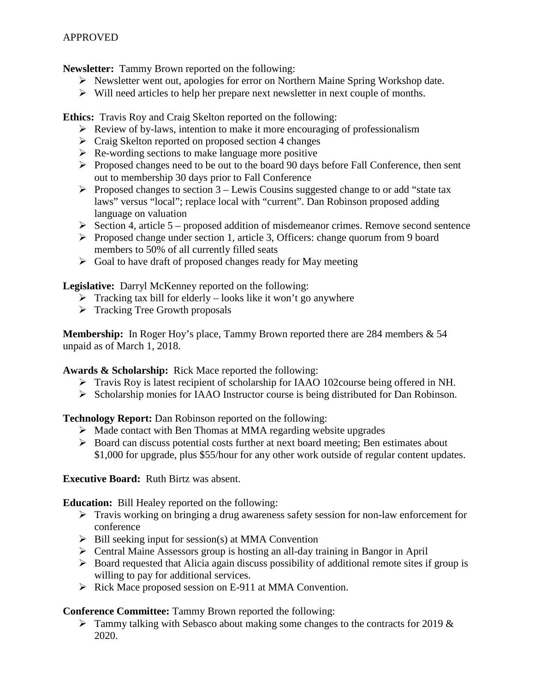**Newsletter:** Tammy Brown reported on the following:

- $\triangleright$  Newsletter went out, apologies for error on Northern Maine Spring Workshop date.
- $\triangleright$  Will need articles to help her prepare next newsletter in next couple of months.

**Ethics:** Travis Roy and Craig Skelton reported on the following:

- $\triangleright$  Review of by-laws, intention to make it more encouraging of professionalism
- $\triangleright$  Craig Skelton reported on proposed section 4 changes
- $\triangleright$  Re-wording sections to make language more positive
- Proposed changes need to be out to the board 90 days before Fall Conference, then sent out to membership 30 days prior to Fall Conference
- Proposed changes to section  $3$  Lewis Cousins suggested change to or add "state tax laws" versus "local"; replace local with "current". Dan Robinson proposed adding language on valuation
- $\triangleright$  Section 4, article 5 proposed addition of misdemeanor crimes. Remove second sentence
- $\triangleright$  Proposed change under section 1, article 3, Officers: change quorum from 9 board members to 50% of all currently filled seats
- $\triangleright$  Goal to have draft of proposed changes ready for May meeting

**Legislative:** Darryl McKenney reported on the following:

- $\triangleright$  Tracking tax bill for elderly looks like it won't go anywhere
- $\triangleright$  Tracking Tree Growth proposals

**Membership:** In Roger Hoy's place, Tammy Brown reported there are 284 members & 54 unpaid as of March 1, 2018.

**Awards & Scholarship:** Rick Mace reported the following:

- Travis Roy is latest recipient of scholarship for IAAO 102course being offered in NH.
- Scholarship monies for IAAO Instructor course is being distributed for Dan Robinson.

**Technology Report:** Dan Robinson reported on the following:

- $\triangleright$  Made contact with Ben Thomas at MMA regarding website upgrades
- $\triangleright$  Board can discuss potential costs further at next board meeting; Ben estimates about \$1,000 for upgrade, plus \$55/hour for any other work outside of regular content updates.

**Executive Board:** Ruth Birtz was absent.

**Education:** Bill Healey reported on the following:

- $\triangleright$  Travis working on bringing a drug awareness safety session for non-law enforcement for conference
- $\triangleright$  Bill seeking input for session(s) at MMA Convention
- Central Maine Assessors group is hosting an all-day training in Bangor in April
- $\triangleright$  Board requested that Alicia again discuss possibility of additional remote sites if group is willing to pay for additional services.
- $\triangleright$  Rick Mace proposed session on E-911 at MMA Convention.

**Conference Committee:** Tammy Brown reported the following:

 $\triangleright$  Tammy talking with Sebasco about making some changes to the contracts for 2019 & 2020.